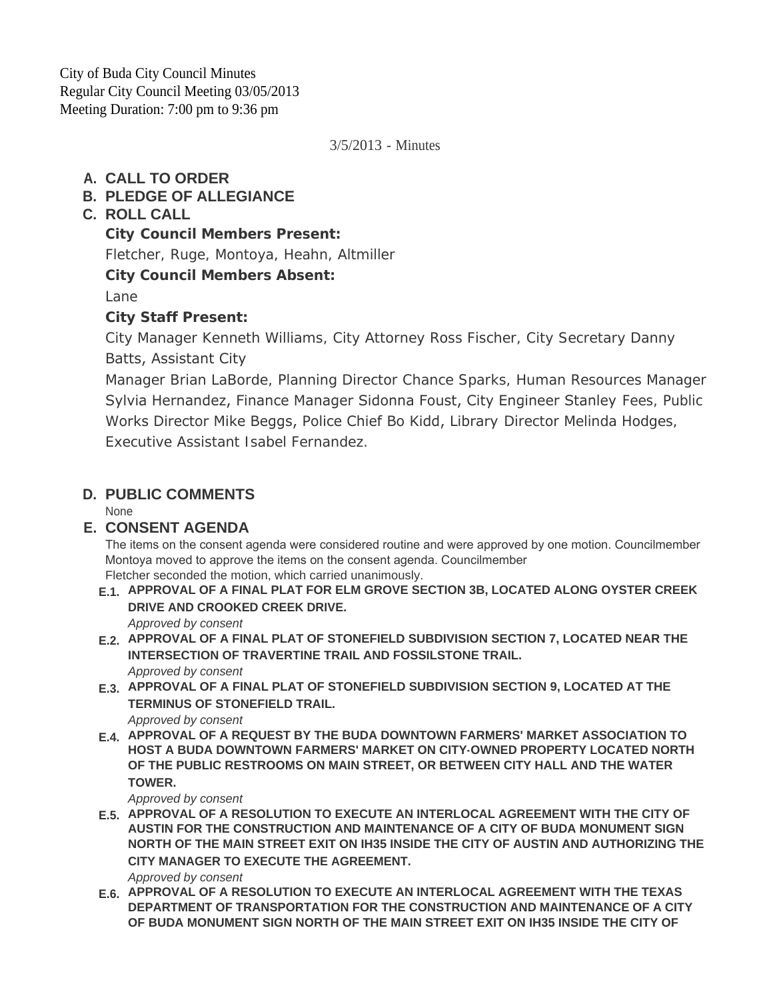City of Buda City Council Minutes Regular City Council Meeting 03/05/2013 Meeting Duration: 7:00 pm to 9:36 pm

3/5/2013 - Minutes

## **CALL TO ORDER A.**

## **PLEDGE OF ALLEGIANCE B.**

## **ROLL CALL C.**

**City Council Members Present:**

Fletcher, Ruge, Montoya, Heahn, Altmiller

**City Council Members Absent:**

Lane

## **City Staff Present:**

City Manager Kenneth Williams, City Attorney Ross Fischer, City Secretary Danny Batts, Assistant City

Manager Brian LaBorde, Planning Director Chance Sparks, Human Resources Manager Sylvia Hernandez, Finance Manager Sidonna Foust, City Engineer Stanley Fees, Public Works Director Mike Beggs, Police Chief Bo Kidd, Library Director Melinda Hodges, Executive Assistant Isabel Fernandez.

# **PUBLIC COMMENTS D.**

**None** 

### **CONSENT AGENDA E.**

The items on the consent agenda were considered routine and were approved by one motion. Councilmember Montoya moved to approve the items on the consent agenda. Councilmember Fletcher seconded the motion, which carried unanimously.

**APPROVAL OF A FINAL PLAT FOR ELM GROVE SECTION 3B, LOCATED ALONG OYSTER CREEK E.1. DRIVE AND CROOKED CREEK DRIVE.**

*Approved by consent*

- **APPROVAL OF A FINAL PLAT OF STONEFIELD SUBDIVISION SECTION 7, LOCATED NEAR THE E.2. INTERSECTION OF TRAVERTINE TRAIL AND FOSSILSTONE TRAIL.** *Approved by consent*
- **APPROVAL OF A FINAL PLAT OF STONEFIELD SUBDIVISION SECTION 9, LOCATED AT THE E.3. TERMINUS OF STONEFIELD TRAIL.**
	- *Approved by consent*
- **APPROVAL OF A REQUEST BY THE BUDA DOWNTOWN FARMERS' MARKET ASSOCIATION TO E.4. HOST A BUDA DOWNTOWN FARMERS' MARKET ON CITY-OWNED PROPERTY LOCATED NORTH OF THE PUBLIC RESTROOMS ON MAIN STREET, OR BETWEEN CITY HALL AND THE WATER TOWER.**

*Approved by consent*

**APPROVAL OF A RESOLUTION TO EXECUTE AN INTERLOCAL AGREEMENT WITH THE CITY OF E.5. AUSTIN FOR THE CONSTRUCTION AND MAINTENANCE OF A CITY OF BUDA MONUMENT SIGN NORTH OF THE MAIN STREET EXIT ON IH35 INSIDE THE CITY OF AUSTIN AND AUTHORIZING THE CITY MANAGER TO EXECUTE THE AGREEMENT.**

*Approved by consent*

**APPROVAL OF A RESOLUTION TO EXECUTE AN INTERLOCAL AGREEMENT WITH THE TEXAS E.6. DEPARTMENT OF TRANSPORTATION FOR THE CONSTRUCTION AND MAINTENANCE OF A CITY OF BUDA MONUMENT SIGN NORTH OF THE MAIN STREET EXIT ON IH35 INSIDE THE CITY OF**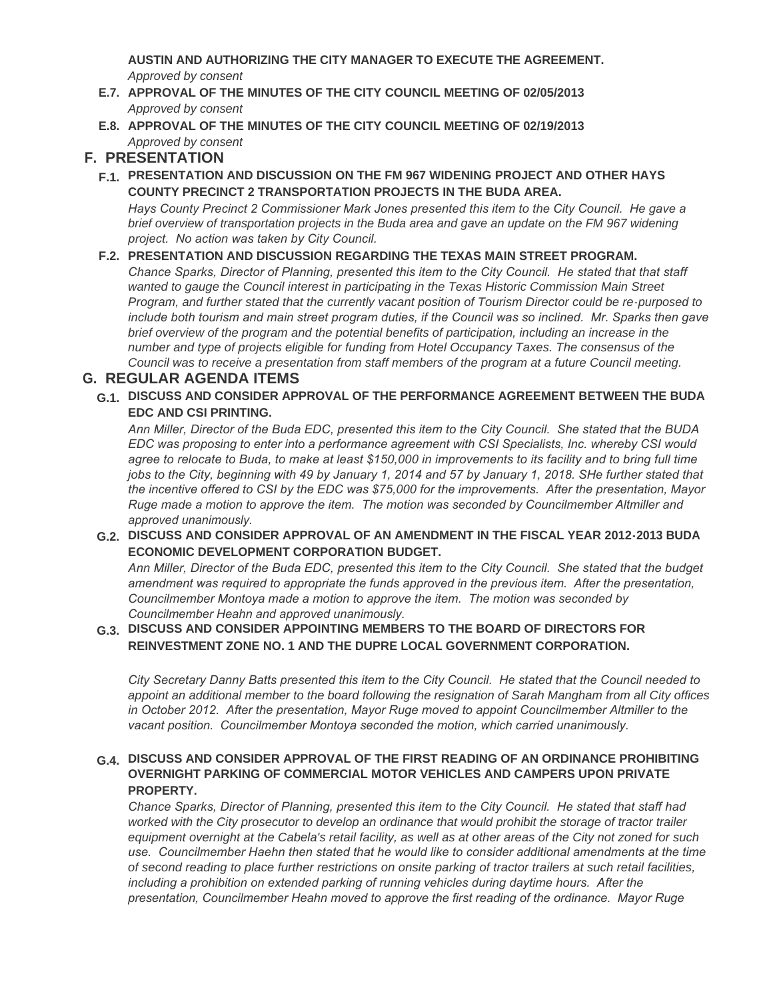**AUSTIN AND AUTHORIZING THE CITY MANAGER TO EXECUTE THE AGREEMENT.** *Approved by consent*

- **APPROVAL OF THE MINUTES OF THE CITY COUNCIL MEETING OF 02/05/2013 E.7.** *Approved by consent*
- **APPROVAL OF THE MINUTES OF THE CITY COUNCIL MEETING OF 02/19/2013 E.8.** *Approved by consent*

# **PRESENTATION F.**

**PRESENTATION AND DISCUSSION ON THE FM 967 WIDENING PROJECT AND OTHER HAYS F.1. COUNTY PRECINCT 2 TRANSPORTATION PROJECTS IN THE BUDA AREA.**

*Hays County Precinct 2 Commissioner Mark Jones presented this item to the City Council. He gave a brief overview of transportation projects in the Buda area and gave an update on the FM 967 widening project. No action was taken by City Council.*

#### **PRESENTATION AND DISCUSSION REGARDING THE TEXAS MAIN STREET PROGRAM. F.2.**

*Chance Sparks, Director of Planning, presented this item to the City Council. He stated that that staff*  wanted to gauge the Council interest in participating in the Texas Historic Commission Main Street *Program, and further stated that the currently vacant position of Tourism Director could be re-purposed to include both tourism and main street program duties, if the Council was so inclined. Mr. Sparks then gave brief overview of the program and the potential benefits of participation, including an increase in the number and type of projects eligible for funding from Hotel Occupancy Taxes. The consensus of the Council was to receive a presentation from staff members of the program at a future Council meeting.*

#### **REGULAR AGENDA ITEMS G.**

**DISCUSS AND CONSIDER APPROVAL OF THE PERFORMANCE AGREEMENT BETWEEN THE BUDA G.1. EDC AND CSI PRINTING.**

*Ann Miller, Director of the Buda EDC, presented this item to the City Council. She stated that the BUDA EDC was proposing to enter into a performance agreement with CSI Specialists, Inc. whereby CSI would agree to relocate to Buda, to make at least \$150,000 in improvements to its facility and to bring full time jobs to the City, beginning with 49 by January 1, 2014 and 57 by January 1, 2018. SHe further stated that the incentive offered to CSI by the EDC was \$75,000 for the improvements. After the presentation, Mayor Ruge made a motion to approve the item. The motion was seconded by Councilmember Altmiller and approved unanimously.* 

**DISCUSS AND CONSIDER APPROVAL OF AN AMENDMENT IN THE FISCAL YEAR 2012-2013 BUDA G.2. ECONOMIC DEVELOPMENT CORPORATION BUDGET.**

*Ann Miller, Director of the Buda EDC, presented this item to the City Council. She stated that the budget amendment was required to appropriate the funds approved in the previous item. After the presentation, Councilmember Montoya made a motion to approve the item. The motion was seconded by Councilmember Heahn and approved unanimously.* 

#### **DISCUSS AND CONSIDER APPOINTING MEMBERS TO THE BOARD OF DIRECTORS FOR G.3. REINVESTMENT ZONE NO. 1 AND THE DUPRE LOCAL GOVERNMENT CORPORATION.**

*City Secretary Danny Batts presented this item to the City Council. He stated that the Council needed to appoint an additional member to the board following the resignation of Sarah Mangham from all City offices in October 2012. After the presentation, Mayor Ruge moved to appoint Councilmember Altmiller to the vacant position. Councilmember Montoya seconded the motion, which carried unanimously.*

#### **DISCUSS AND CONSIDER APPROVAL OF THE FIRST READING OF AN ORDINANCE PROHIBITING G.4. OVERNIGHT PARKING OF COMMERCIAL MOTOR VEHICLES AND CAMPERS UPON PRIVATE PROPERTY.**

*Chance Sparks, Director of Planning, presented this item to the City Council. He stated that staff had worked with the City prosecutor to develop an ordinance that would prohibit the storage of tractor trailer*  equipment overnight at the Cabela's retail facility, as well as at other areas of the City not zoned for such *use. Councilmember Haehn then stated that he would like to consider additional amendments at the time of second reading to place further restrictions on onsite parking of tractor trailers at such retail facilities, including a prohibition on extended parking of running vehicles during daytime hours. After the presentation, Councilmember Heahn moved to approve the first reading of the ordinance. Mayor Ruge*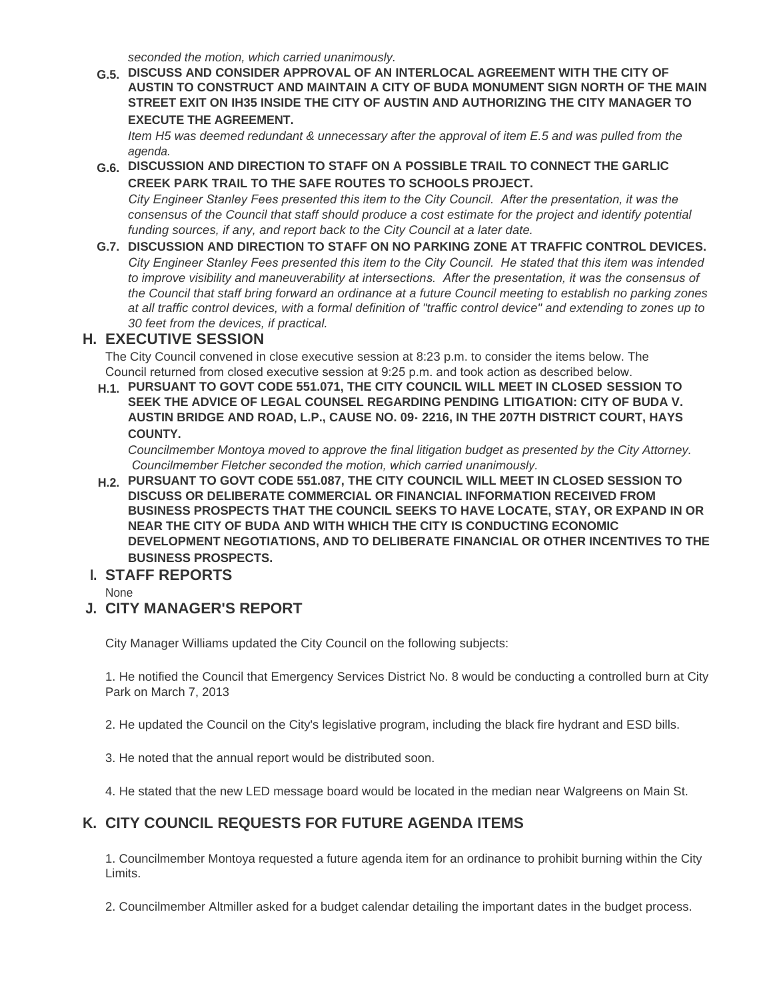*seconded the motion, which carried unanimously.*

**DISCUSS AND CONSIDER APPROVAL OF AN INTERLOCAL AGREEMENT WITH THE CITY OF G.5. AUSTIN TO CONSTRUCT AND MAINTAIN A CITY OF BUDA MONUMENT SIGN NORTH OF THE MAIN STREET EXIT ON IH35 INSIDE THE CITY OF AUSTIN AND AUTHORIZING THE CITY MANAGER TO EXECUTE THE AGREEMENT.**

*Item H5 was deemed redundant & unnecessary after the approval of item E.5 and was pulled from the agenda.*

**DISCUSSION AND DIRECTION TO STAFF ON A POSSIBLE TRAIL TO CONNECT THE GARLIC G.6. CREEK PARK TRAIL TO THE SAFE ROUTES TO SCHOOLS PROJECT.**

*City Engineer Stanley Fees presented this item to the City Council. After the presentation, it was the*  consensus of the Council that staff should produce a cost estimate for the project and identify potential *funding sources, if any, and report back to the City Council at a later date.*

**DISCUSSION AND DIRECTION TO STAFF ON NO PARKING ZONE AT TRAFFIC CONTROL DEVICES. G.7.** *City Engineer Stanley Fees presented this item to the City Council. He stated that this item was intended to improve visibility and maneuverability at intersections. After the presentation, it was the consensus of the Council that staff bring forward an ordinance at a future Council meeting to establish no parking zones at all traffic control devices, with a formal definition of "traffic control device" and extending to zones up to 30 feet from the devices, if practical.*

### **EXECUTIVE SESSION H.**

The City Council convened in close executive session at 8:23 p.m. to consider the items below. The Council returned from closed executive session at 9:25 p.m. and took action as described below.

**PURSUANT TO GOVT CODE 551.071, THE CITY COUNCIL WILL MEET IN CLOSED SESSION TO H.1. SEEK THE ADVICE OF LEGAL COUNSEL REGARDING PENDING LITIGATION: CITY OF BUDA V. AUSTIN BRIDGE AND ROAD, L.P., CAUSE NO. 09- 2216, IN THE 207TH DISTRICT COURT, HAYS COUNTY.**

*Councilmember Montoya moved to approve the final litigation budget as presented by the City Attorney. Councilmember Fletcher seconded the motion, which carried unanimously.*

**PURSUANT TO GOVT CODE 551.087, THE CITY COUNCIL WILL MEET IN CLOSED SESSION TO H.2. DISCUSS OR DELIBERATE COMMERCIAL OR FINANCIAL INFORMATION RECEIVED FROM BUSINESS PROSPECTS THAT THE COUNCIL SEEKS TO HAVE LOCATE, STAY, OR EXPAND IN OR NEAR THE CITY OF BUDA AND WITH WHICH THE CITY IS CONDUCTING ECONOMIC DEVELOPMENT NEGOTIATIONS, AND TO DELIBERATE FINANCIAL OR OTHER INCENTIVES TO THE BUSINESS PROSPECTS.**

### **STAFF REPORTS I.**

None

### **CITY MANAGER'S REPORT J.**

City Manager Williams updated the City Council on the following subjects:

1. He notified the Council that Emergency Services District No. 8 would be conducting a controlled burn at City Park on March 7, 2013

2. He updated the Council on the City's legislative program, including the black fire hydrant and ESD bills.

3. He noted that the annual report would be distributed soon.

4. He stated that the new LED message board would be located in the median near Walgreens on Main St.

### **CITY COUNCIL REQUESTS FOR FUTURE AGENDA ITEMS K.**

1. Councilmember Montoya requested a future agenda item for an ordinance to prohibit burning within the City Limits.

2. Councilmember Altmiller asked for a budget calendar detailing the important dates in the budget process.